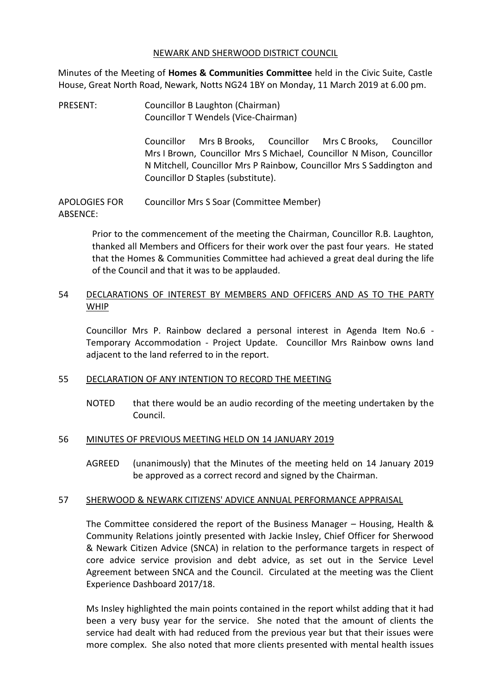#### NEWARK AND SHERWOOD DISTRICT COUNCIL

Minutes of the Meeting of **Homes & Communities Committee** held in the Civic Suite, Castle House, Great North Road, Newark, Notts NG24 1BY on Monday, 11 March 2019 at 6.00 pm.

PRESENT: Councillor B Laughton (Chairman) Councillor T Wendels (Vice-Chairman)

> Councillor Mrs B Brooks, Councillor Mrs C Brooks, Councillor Mrs I Brown, Councillor Mrs S Michael, Councillor N Mison, Councillor N Mitchell, Councillor Mrs P Rainbow, Councillor Mrs S Saddington and Councillor D Staples (substitute).

APOLOGIES FOR ARSENCE<sup>.</sup> Councillor Mrs S Soar (Committee Member)

> Prior to the commencement of the meeting the Chairman, Councillor R.B. Laughton, thanked all Members and Officers for their work over the past four years. He stated that the Homes & Communities Committee had achieved a great deal during the life of the Council and that it was to be applauded.

# 54 DECLARATIONS OF INTEREST BY MEMBERS AND OFFICERS AND AS TO THE PARTY WHIP

Councillor Mrs P. Rainbow declared a personal interest in Agenda Item No.6 - Temporary Accommodation - Project Update. Councillor Mrs Rainbow owns land adjacent to the land referred to in the report.

## 55 DECLARATION OF ANY INTENTION TO RECORD THE MEETING

NOTED that there would be an audio recording of the meeting undertaken by the Council.

## 56 MINUTES OF PREVIOUS MEETING HELD ON 14 JANUARY 2019

AGREED (unanimously) that the Minutes of the meeting held on 14 January 2019 be approved as a correct record and signed by the Chairman.

## 57 SHERWOOD & NEWARK CITIZENS' ADVICE ANNUAL PERFORMANCE APPRAISAL

The Committee considered the report of the Business Manager – Housing, Health & Community Relations jointly presented with Jackie Insley, Chief Officer for Sherwood & Newark Citizen Advice (SNCA) in relation to the performance targets in respect of core advice service provision and debt advice, as set out in the Service Level Agreement between SNCA and the Council. Circulated at the meeting was the Client Experience Dashboard 2017/18.

Ms Insley highlighted the main points contained in the report whilst adding that it had been a very busy year for the service. She noted that the amount of clients the service had dealt with had reduced from the previous year but that their issues were more complex. She also noted that more clients presented with mental health issues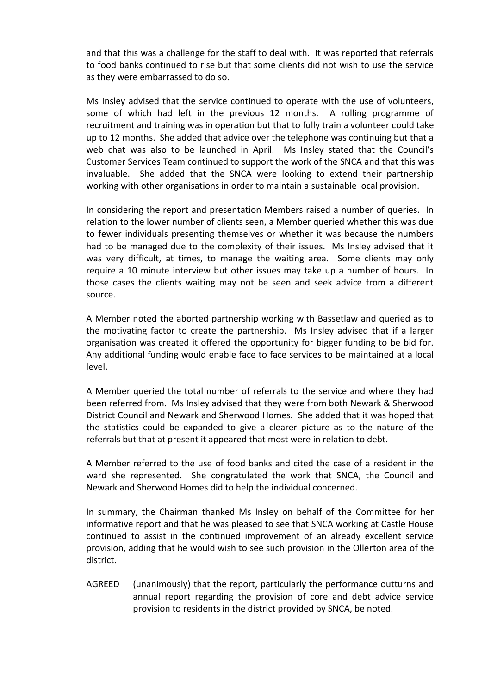and that this was a challenge for the staff to deal with. It was reported that referrals to food banks continued to rise but that some clients did not wish to use the service as they were embarrassed to do so.

Ms Insley advised that the service continued to operate with the use of volunteers, some of which had left in the previous 12 months. A rolling programme of recruitment and training was in operation but that to fully train a volunteer could take up to 12 months. She added that advice over the telephone was continuing but that a web chat was also to be launched in April. Ms Insley stated that the Council's Customer Services Team continued to support the work of the SNCA and that this was invaluable. She added that the SNCA were looking to extend their partnership working with other organisations in order to maintain a sustainable local provision.

In considering the report and presentation Members raised a number of queries. In relation to the lower number of clients seen, a Member queried whether this was due to fewer individuals presenting themselves or whether it was because the numbers had to be managed due to the complexity of their issues. Ms Insley advised that it was very difficult, at times, to manage the waiting area. Some clients may only require a 10 minute interview but other issues may take up a number of hours. In those cases the clients waiting may not be seen and seek advice from a different source.

A Member noted the aborted partnership working with Bassetlaw and queried as to the motivating factor to create the partnership. Ms Insley advised that if a larger organisation was created it offered the opportunity for bigger funding to be bid for. Any additional funding would enable face to face services to be maintained at a local level.

A Member queried the total number of referrals to the service and where they had been referred from. Ms Insley advised that they were from both Newark & Sherwood District Council and Newark and Sherwood Homes. She added that it was hoped that the statistics could be expanded to give a clearer picture as to the nature of the referrals but that at present it appeared that most were in relation to debt.

A Member referred to the use of food banks and cited the case of a resident in the ward she represented. She congratulated the work that SNCA, the Council and Newark and Sherwood Homes did to help the individual concerned.

In summary, the Chairman thanked Ms Insley on behalf of the Committee for her informative report and that he was pleased to see that SNCA working at Castle House continued to assist in the continued improvement of an already excellent service provision, adding that he would wish to see such provision in the Ollerton area of the district.

AGREED (unanimously) that the report, particularly the performance outturns and annual report regarding the provision of core and debt advice service provision to residents in the district provided by SNCA, be noted.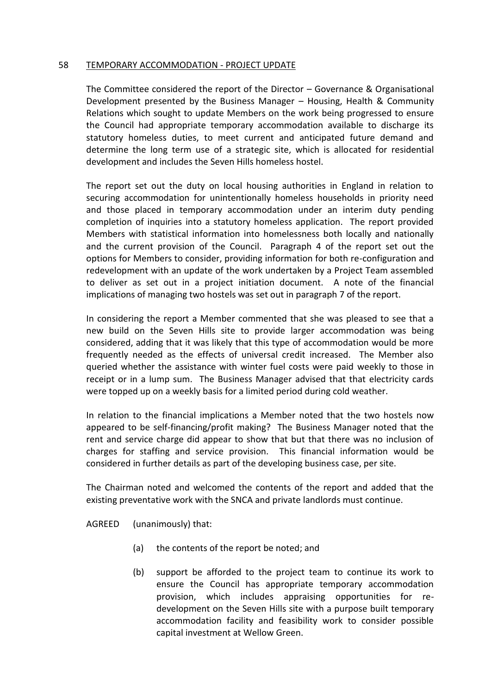### 58 TEMPORARY ACCOMMODATION - PROJECT UPDATE

The Committee considered the report of the Director – Governance & Organisational Development presented by the Business Manager – Housing, Health & Community Relations which sought to update Members on the work being progressed to ensure the Council had appropriate temporary accommodation available to discharge its statutory homeless duties, to meet current and anticipated future demand and determine the long term use of a strategic site, which is allocated for residential development and includes the Seven Hills homeless hostel.

The report set out the duty on local housing authorities in England in relation to securing accommodation for unintentionally homeless households in priority need and those placed in temporary accommodation under an interim duty pending completion of inquiries into a statutory homeless application. The report provided Members with statistical information into homelessness both locally and nationally and the current provision of the Council. Paragraph 4 of the report set out the options for Members to consider, providing information for both re-configuration and redevelopment with an update of the work undertaken by a Project Team assembled to deliver as set out in a project initiation document. A note of the financial implications of managing two hostels was set out in paragraph 7 of the report.

In considering the report a Member commented that she was pleased to see that a new build on the Seven Hills site to provide larger accommodation was being considered, adding that it was likely that this type of accommodation would be more frequently needed as the effects of universal credit increased. The Member also queried whether the assistance with winter fuel costs were paid weekly to those in receipt or in a lump sum. The Business Manager advised that that electricity cards were topped up on a weekly basis for a limited period during cold weather.

In relation to the financial implications a Member noted that the two hostels now appeared to be self-financing/profit making? The Business Manager noted that the rent and service charge did appear to show that but that there was no inclusion of charges for staffing and service provision. This financial information would be considered in further details as part of the developing business case, per site.

The Chairman noted and welcomed the contents of the report and added that the existing preventative work with the SNCA and private landlords must continue.

AGREED (unanimously) that:

- (a) the contents of the report be noted; and
- (b) support be afforded to the project team to continue its work to ensure the Council has appropriate temporary accommodation provision, which includes appraising opportunities for redevelopment on the Seven Hills site with a purpose built temporary accommodation facility and feasibility work to consider possible capital investment at Wellow Green.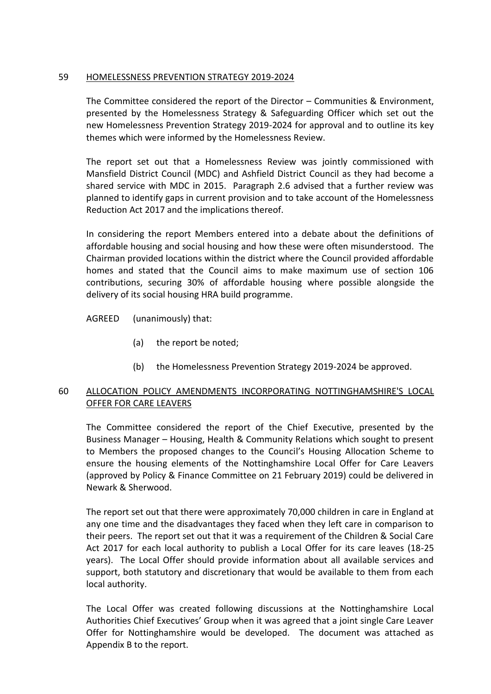# 59 HOMELESSNESS PREVENTION STRATEGY 2019-2024

The Committee considered the report of the Director – Communities & Environment, presented by the Homelessness Strategy & Safeguarding Officer which set out the new Homelessness Prevention Strategy 2019-2024 for approval and to outline its key themes which were informed by the Homelessness Review.

The report set out that a Homelessness Review was jointly commissioned with Mansfield District Council (MDC) and Ashfield District Council as they had become a shared service with MDC in 2015. Paragraph 2.6 advised that a further review was planned to identify gaps in current provision and to take account of the Homelessness Reduction Act 2017 and the implications thereof.

In considering the report Members entered into a debate about the definitions of affordable housing and social housing and how these were often misunderstood. The Chairman provided locations within the district where the Council provided affordable homes and stated that the Council aims to make maximum use of section 106 contributions, securing 30% of affordable housing where possible alongside the delivery of its social housing HRA build programme.

AGREED (unanimously) that:

- (a) the report be noted;
- (b) the Homelessness Prevention Strategy 2019-2024 be approved.

# 60 ALLOCATION POLICY AMENDMENTS INCORPORATING NOTTINGHAMSHIRE'S LOCAL OFFER FOR CARE LEAVERS

The Committee considered the report of the Chief Executive, presented by the Business Manager – Housing, Health & Community Relations which sought to present to Members the proposed changes to the Council's Housing Allocation Scheme to ensure the housing elements of the Nottinghamshire Local Offer for Care Leavers (approved by Policy & Finance Committee on 21 February 2019) could be delivered in Newark & Sherwood.

The report set out that there were approximately 70,000 children in care in England at any one time and the disadvantages they faced when they left care in comparison to their peers. The report set out that it was a requirement of the Children & Social Care Act 2017 for each local authority to publish a Local Offer for its care leaves (18-25 years). The Local Offer should provide information about all available services and support, both statutory and discretionary that would be available to them from each local authority.

The Local Offer was created following discussions at the Nottinghamshire Local Authorities Chief Executives' Group when it was agreed that a joint single Care Leaver Offer for Nottinghamshire would be developed. The document was attached as Appendix B to the report.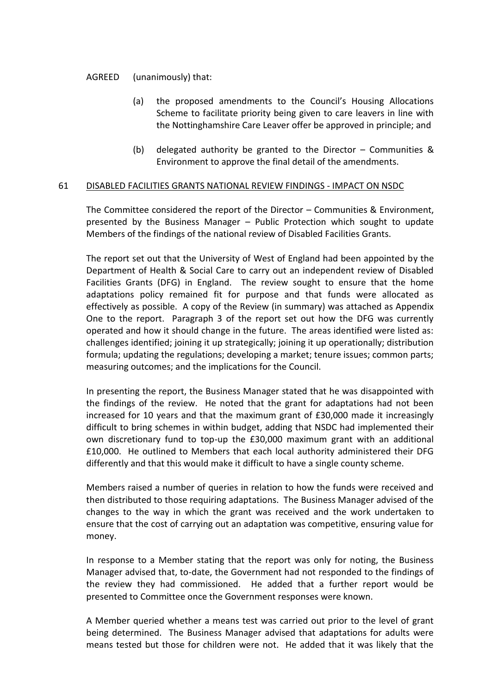### AGREED (unanimously) that:

- (a) the proposed amendments to the Council's Housing Allocations Scheme to facilitate priority being given to care leavers in line with the Nottinghamshire Care Leaver offer be approved in principle; and
- (b) delegated authority be granted to the Director Communities & Environment to approve the final detail of the amendments.

#### 61 DISABLED FACILITIES GRANTS NATIONAL REVIEW FINDINGS - IMPACT ON NSDC

The Committee considered the report of the Director – Communities & Environment, presented by the Business Manager – Public Protection which sought to update Members of the findings of the national review of Disabled Facilities Grants.

The report set out that the University of West of England had been appointed by the Department of Health & Social Care to carry out an independent review of Disabled Facilities Grants (DFG) in England. The review sought to ensure that the home adaptations policy remained fit for purpose and that funds were allocated as effectively as possible. A copy of the Review (in summary) was attached as Appendix One to the report. Paragraph 3 of the report set out how the DFG was currently operated and how it should change in the future. The areas identified were listed as: challenges identified; joining it up strategically; joining it up operationally; distribution formula; updating the regulations; developing a market; tenure issues; common parts; measuring outcomes; and the implications for the Council.

In presenting the report, the Business Manager stated that he was disappointed with the findings of the review. He noted that the grant for adaptations had not been increased for 10 years and that the maximum grant of £30,000 made it increasingly difficult to bring schemes in within budget, adding that NSDC had implemented their own discretionary fund to top-up the £30,000 maximum grant with an additional £10,000. He outlined to Members that each local authority administered their DFG differently and that this would make it difficult to have a single county scheme.

Members raised a number of queries in relation to how the funds were received and then distributed to those requiring adaptations. The Business Manager advised of the changes to the way in which the grant was received and the work undertaken to ensure that the cost of carrying out an adaptation was competitive, ensuring value for money.

In response to a Member stating that the report was only for noting, the Business Manager advised that, to-date, the Government had not responded to the findings of the review they had commissioned. He added that a further report would be presented to Committee once the Government responses were known.

A Member queried whether a means test was carried out prior to the level of grant being determined. The Business Manager advised that adaptations for adults were means tested but those for children were not. He added that it was likely that the